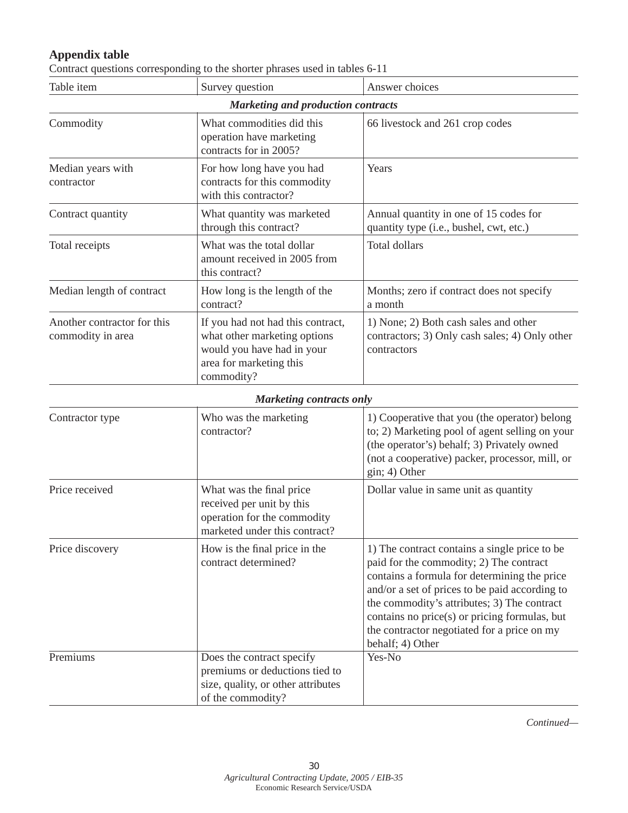## **Appendix table**

Contract questions corresponding to the shorter phrases used in tables 6-11

| Table item                                       | Survey question                                                                                                                          | Answer choices                                                                                                                                                                                                                                                                                                                                                |
|--------------------------------------------------|------------------------------------------------------------------------------------------------------------------------------------------|---------------------------------------------------------------------------------------------------------------------------------------------------------------------------------------------------------------------------------------------------------------------------------------------------------------------------------------------------------------|
|                                                  | <b>Marketing and production contracts</b>                                                                                                |                                                                                                                                                                                                                                                                                                                                                               |
| Commodity                                        | What commodities did this<br>operation have marketing<br>contracts for in 2005?                                                          | 66 livestock and 261 crop codes                                                                                                                                                                                                                                                                                                                               |
| Median years with<br>contractor                  | For how long have you had<br>contracts for this commodity<br>with this contractor?                                                       | Years                                                                                                                                                                                                                                                                                                                                                         |
| Contract quantity                                | What quantity was marketed<br>through this contract?                                                                                     | Annual quantity in one of 15 codes for<br>quantity type (i.e., bushel, cwt, etc.)                                                                                                                                                                                                                                                                             |
| Total receipts                                   | What was the total dollar<br>amount received in 2005 from<br>this contract?                                                              | <b>Total dollars</b>                                                                                                                                                                                                                                                                                                                                          |
| Median length of contract                        | How long is the length of the<br>contract?                                                                                               | Months; zero if contract does not specify<br>a month                                                                                                                                                                                                                                                                                                          |
| Another contractor for this<br>commodity in area | If you had not had this contract,<br>what other marketing options<br>would you have had in your<br>area for marketing this<br>commodity? | 1) None; 2) Both cash sales and other<br>contractors; 3) Only cash sales; 4) Only other<br>contractors                                                                                                                                                                                                                                                        |
|                                                  | <b>Marketing contracts only</b>                                                                                                          |                                                                                                                                                                                                                                                                                                                                                               |
| Contractor type                                  | Who was the marketing<br>contractor?                                                                                                     | 1) Cooperative that you (the operator) belong<br>to; 2) Marketing pool of agent selling on your<br>(the operator's) behalf; 3) Privately owned<br>(not a cooperative) packer, processor, mill, or<br>gin; 4) Other                                                                                                                                            |
| Price received                                   | What was the final price<br>received per unit by this<br>operation for the commodity<br>marketed under this contract?                    | Dollar value in same unit as quantity                                                                                                                                                                                                                                                                                                                         |
| Price discovery                                  | How is the final price in the<br>contract determined?                                                                                    | 1) The contract contains a single price to be<br>paid for the commodity; 2) The contract<br>contains a formula for determining the price<br>and/or a set of prices to be paid according to<br>the commodity's attributes; 3) The contract<br>contains no price(s) or pricing formulas, but<br>the contractor negotiated for a price on my<br>behalf; 4) Other |
| Premiums                                         | Does the contract specify<br>premiums or deductions tied to<br>size, quality, or other attributes<br>of the commodity?                   | Yes-No                                                                                                                                                                                                                                                                                                                                                        |

*Continued—*